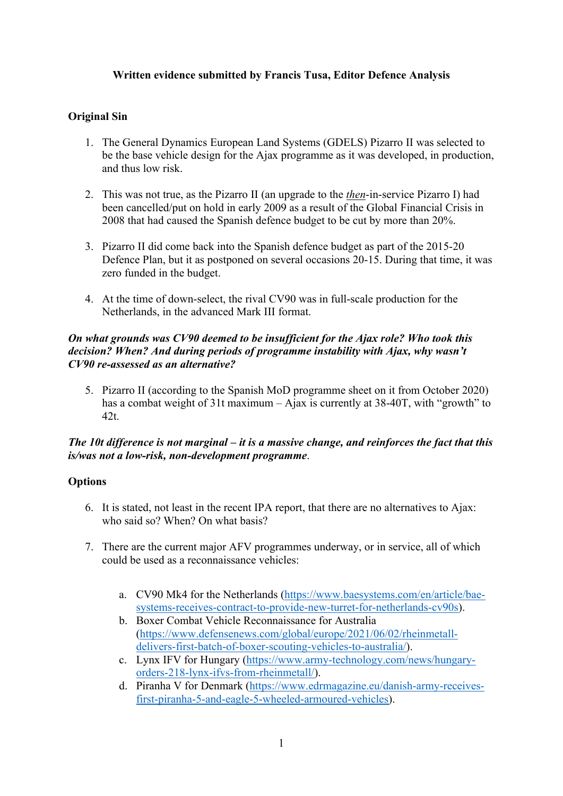# **Written evidence submitted by Francis Tusa, Editor Defence Analysis**

# **Original Sin**

- 1. The General Dynamics European Land Systems (GDELS) Pizarro II was selected to be the base vehicle design for the Ajax programme as it was developed, in production, and thus low risk.
- 2. This was not true, as the Pizarro II (an upgrade to the *then*-in-service Pizarro I) had been cancelled/put on hold in early 2009 as a result of the Global Financial Crisis in 2008 that had caused the Spanish defence budget to be cut by more than 20%.
- 3. Pizarro II did come back into the Spanish defence budget as part of the 2015-20 Defence Plan, but it as postponed on several occasions 20-15. During that time, it was zero funded in the budget.
- 4. At the time of down-select, the rival CV90 was in full-scale production for the Netherlands, in the advanced Mark III format.

#### *On what grounds was CV90 deemed to be insufficient for the Ajax role? Who took this decision? When? And during periods of programme instability with Ajax, why wasn't CV90 re-assessed as an alternative?*

5. Pizarro II (according to the Spanish MoD programme sheet on it from October 2020) has a combat weight of 31t maximum – Ajax is currently at 38-40T, with "growth" to 42t.

### *The 10t difference is not marginal – it is a massive change, and reinforces the fact that this is/was not a low-risk, non-development programme*.

### **Options**

- 6. It is stated, not least in the recent IPA report, that there are no alternatives to Ajax: who said so? When? On what basis?
- 7. There are the current major AFV programmes underway, or in service, all of which could be used as a reconnaissance vehicles:
	- a. CV90 Mk4 for the Netherlands ([https://www.baesystems.com/en/article/bae](https://www.baesystems.com/en/article/bae-systems-receives-contract-to-provide-new-turret-for-netherlands-cv90s)[systems-receives-contract-to-provide-new-turret-for-netherlands-cv90s\)](https://www.baesystems.com/en/article/bae-systems-receives-contract-to-provide-new-turret-for-netherlands-cv90s).
	- b. Boxer Combat Vehicle Reconnaissance for Australia ([https://www.defensenews.com/global/europe/2021/06/02/rheinmetall](https://www.defensenews.com/global/europe/2021/06/02/rheinmetall-delivers-first-batch-of-boxer-scouting-vehicles-to-australia/)[delivers-first-batch-of-boxer-scouting-vehicles-to-australia/\)](https://www.defensenews.com/global/europe/2021/06/02/rheinmetall-delivers-first-batch-of-boxer-scouting-vehicles-to-australia/).
	- c. Lynx IFV for Hungary ([https://www.army-technology.com/news/hungary](https://www.army-technology.com/news/hungary-orders-218-lynx-ifvs-from-rheinmetall/)[orders-218-lynx-ifvs-from-rheinmetall/\)](https://www.army-technology.com/news/hungary-orders-218-lynx-ifvs-from-rheinmetall/).
	- d. Piranha V for Denmark ([https://www.edrmagazine.eu/danish-army-receives](https://www.edrmagazine.eu/danish-army-receives-first-piranha-5-and-eagle-5-wheeled-armoured-vehicles)[first-piranha-5-and-eagle-5-wheeled-armoured-vehicles\)](https://www.edrmagazine.eu/danish-army-receives-first-piranha-5-and-eagle-5-wheeled-armoured-vehicles).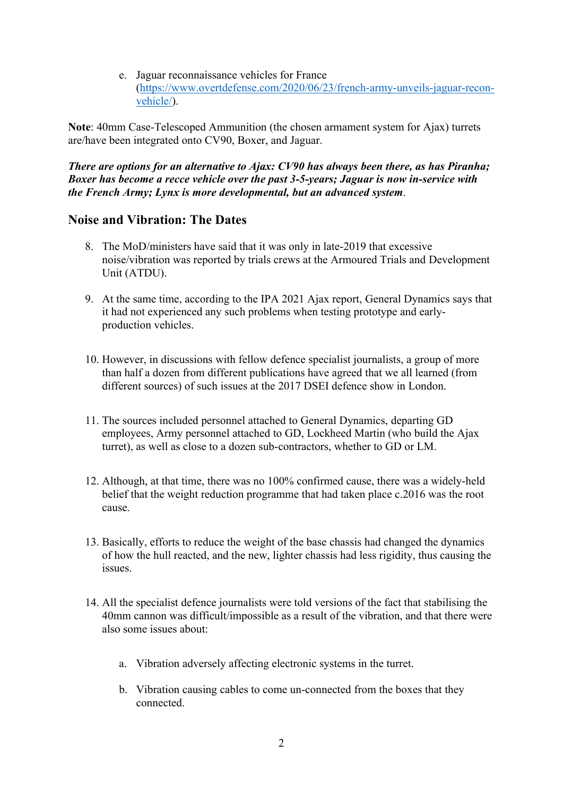e. Jaguar reconnaissance vehicles for France ([https://www.overtdefense.com/2020/06/23/french-army-unveils-jaguar-recon](https://www.overtdefense.com/2020/06/23/french-army-unveils-jaguar-recon-vehicle/)[vehicle/\)](https://www.overtdefense.com/2020/06/23/french-army-unveils-jaguar-recon-vehicle/).

**Note**: 40mm Case-Telescoped Ammunition (the chosen armament system for Ajax) turrets are/have been integrated onto CV90, Boxer, and Jaguar.

*There are options for an alternative to Ajax: CV90 has always been there, as has Piranha; Boxer has become a recce vehicle over the past 3-5-years; Jaguar is now in-service with the French Army; Lynx is more developmental, but an advanced system*.

### **Noise and Vibration: The Dates**

- 8. The MoD/ministers have said that it was only in late-2019 that excessive noise/vibration was reported by trials crews at the Armoured Trials and Development Unit (ATDU).
- 9. At the same time, according to the IPA 2021 Ajax report, General Dynamics says that it had not experienced any such problems when testing prototype and earlyproduction vehicles.
- 10. However, in discussions with fellow defence specialist journalists, a group of more than half a dozen from different publications have agreed that we all learned (from different sources) of such issues at the 2017 DSEI defence show in London.
- 11. The sources included personnel attached to General Dynamics, departing GD employees, Army personnel attached to GD, Lockheed Martin (who build the Ajax turret), as well as close to a dozen sub-contractors, whether to GD or LM.
- 12. Although, at that time, there was no 100% confirmed cause, there was a widely-held belief that the weight reduction programme that had taken place c.2016 was the root cause.
- 13. Basically, efforts to reduce the weight of the base chassis had changed the dynamics of how the hull reacted, and the new, lighter chassis had less rigidity, thus causing the issues.
- 14. All the specialist defence journalists were told versions of the fact that stabilising the 40mm cannon was difficult/impossible as a result of the vibration, and that there were also some issues about:
	- a. Vibration adversely affecting electronic systems in the turret.
	- b. Vibration causing cables to come un-connected from the boxes that they connected.